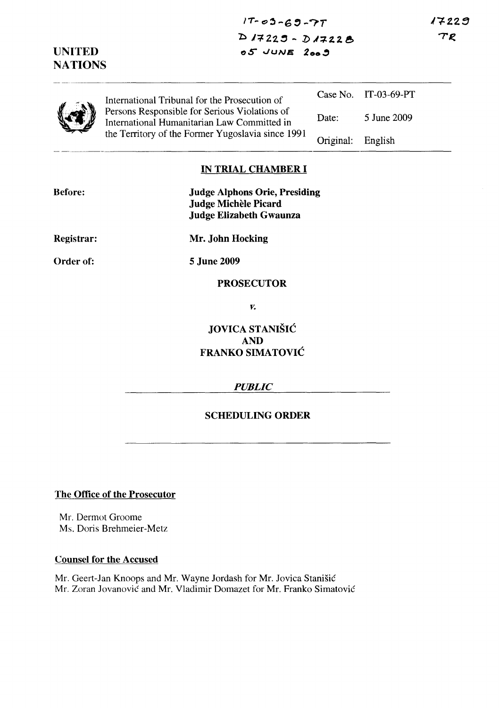$17 - 03 - 69 - 77$ b J':f. 22.~ - ]) *.l+'1.2.* e,  $o5$  JUNE 2009

 $17229$  $TE$ 

|  | International Tribunal for the Prosecution of<br>Persons Responsible for Serious Violations of<br>International Humanitarian Law Committed in<br>the Territory of the Former Yugoslavia since 1991 |           | Case No. IT-03-69-PT |
|--|----------------------------------------------------------------------------------------------------------------------------------------------------------------------------------------------------|-----------|----------------------|
|  |                                                                                                                                                                                                    | Date:     | 5 June 2009          |
|  |                                                                                                                                                                                                    | Original: | English              |

### IN TRIAL CHAMBER I

| <b>Before:</b> | <b>Judge Alphons Orie, Presiding</b><br><b>Judge Michèle Picard</b><br><b>Judge Elizabeth Gwaunza</b> |
|----------------|-------------------------------------------------------------------------------------------------------|
| Registrar:     | Mr. John Hocking                                                                                      |
| Order of:      | 5 June 2009                                                                                           |
|                | <b>PROSECUTOR</b>                                                                                     |

*v.* 

# JOVICA STANISIC AND FRANKO SIMATOVIC

### *PUBLIC*

# SCHEDULING ORDER

The Office of the Prosecutor

UNITED **NATIONS** 

Mr. Dermot Groome Ms. Doris Brehmeier-Metz

#### Counsel for the Accused

Mr. Geert-Jan Knoops and Mr. Wayne Jordash for Mr. Jovica Stanisic Mr. Zoran Jovanovic and Mr. Vladimir Domazet for Mr. Franko Simatovic